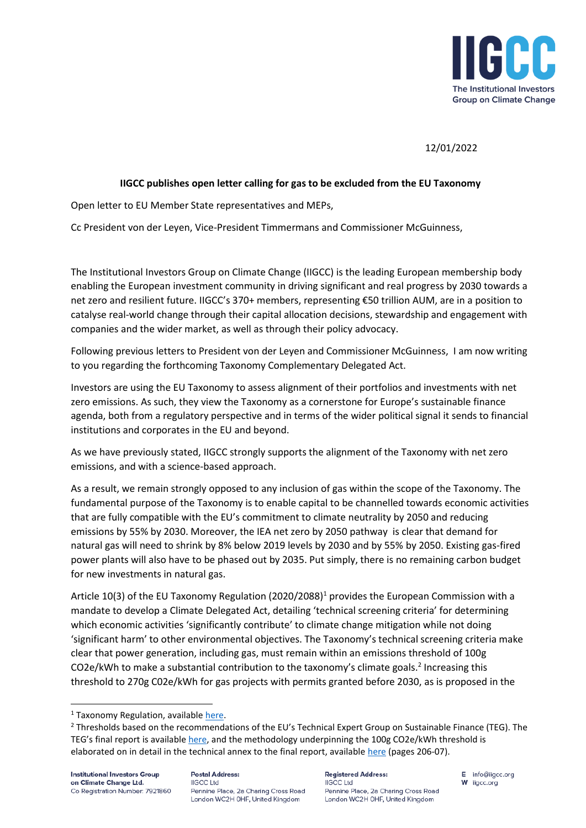

## 12/01/2022

## **IIGCC publishes open letter calling for gas to be excluded from the EU Taxonomy**

Open letter to EU Member State representatives and MEPs,

Cc President von der Leyen, Vice-President Timmermans and Commissioner McGuinness,

The Institutional Investors Group on Climate Change (IIGCC) is the leading European membership body enabling the European investment community in driving significant and real progress by 2030 towards a net zero and resilient future. IIGCC's 370+ members, representing €50 trillion AUM, are in a position to catalyse real-world change through their capital allocation decisions, stewardship and engagement with companies and the wider market, as well as through their policy advocacy.

Following previous letters to President von der Leyen and Commissioner McGuinness, I am now writing to you regarding the forthcoming Taxonomy Complementary Delegated Act.

Investors are using the EU Taxonomy to assess alignment of their portfolios and investments with net zero emissions. As such, they view the Taxonomy as a cornerstone for Europe's sustainable finance agenda, both from a regulatory perspective and in terms of the wider political signal it sends to financial institutions and corporates in the EU and beyond.

As we have previously stated, IIGCC strongly supports the alignment of the Taxonomy with net zero emissions, and with a science-based approach.

As a result, we remain strongly opposed to any inclusion of gas within the scope of the Taxonomy. The fundamental purpose of the Taxonomy is to enable capital to be channelled towards economic activities that are fully compatible with the EU's commitment to climate neutrality by 2050 and reducing emissions by 55% by 2030. Moreover, the IEA net zero by 2050 pathway is clear that demand for natural gas will need to shrink by 8% below 2019 levels by 2030 and by 55% by 2050. Existing gas-fired power plants will also have to be phased out by 2035. Put simply, there is no remaining carbon budget for new investments in natural gas.

Article 10(3) of the EU Taxonomy Regulation (2020/2088)<sup>1</sup> provides the European Commission with a mandate to develop a Climate Delegated Act, detailing 'technical screening criteria' for determining which economic activities 'significantly contribute' to climate change mitigation while not doing 'significant harm' to other environmental objectives. The Taxonomy's technical screening criteria make clear that power generation, including gas, must remain within an emissions threshold of 100g CO2e/kWh to make a substantial contribution to the taxonomy's climate goals.<sup>2</sup> Increasing this threshold to 270g C02e/kWh for gas projects with permits granted before 2030, as is proposed in the

**Registered Address: IIGCC Ltd** Pennine Place, 2a Charing Cross Road London WC2H OHF, United Kinadom

E info@iigcc.org W ligcc.org

 $1$  Taxonomy Regulation, available [here.](https://eur-lex.europa.eu/legal-content/EN/TXT/PDF/?uri=CELEX:32019R2088&from=EN)

<sup>&</sup>lt;sup>2</sup> Thresholds based on the recommendations of the EU's Technical Expert Group on Sustainable Finance (TEG). The TEG's final report is available [here,](https://ec.europa.eu/info/sites/default/files/business_economy_euro/banking_and_finance/documents/200309-sustainable-finance-teg-final-report-taxonomy_en.pdf) and the methodology underpinning the 100g CO2e/kWh threshold is elaborated on in detail in the technical annex to the final report, availabl[e here](https://ec.europa.eu/info/sites/default/files/business_economy_euro/banking_and_finance/documents/200309-sustainable-finance-teg-final-report-taxonomy-annexes_en.pdf) (pages 206-07).